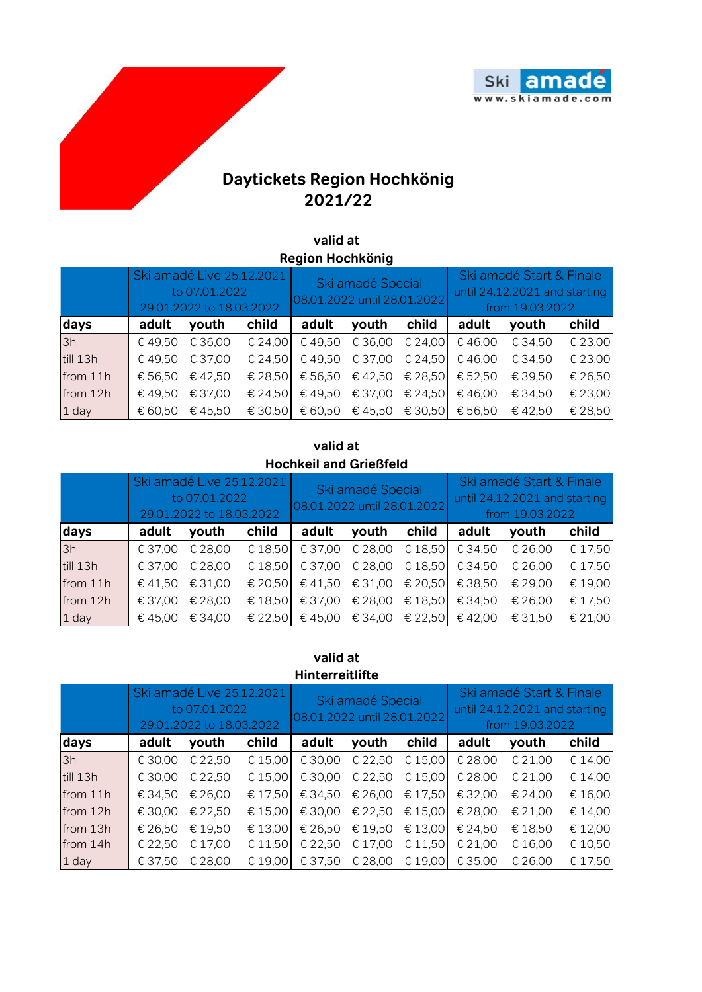

## **Daytickets Region Hochkönig 2021/22**

## **valid at Region Hochkönig**

|          | Ski amadé Live 25.12.2021<br>to 07.01.2022<br>29.01.2022 to 18.03.2022 |         |                  | Ski amadé Special<br>08.01.2022 until 28.01.2022 |                         |                 | Ski amadé Start & Finale<br>until 24.12.2021 and starting<br>from 19.03.2022 |         |         |
|----------|------------------------------------------------------------------------|---------|------------------|--------------------------------------------------|-------------------------|-----------------|------------------------------------------------------------------------------|---------|---------|
| days     | adult                                                                  | youth   | child            | adult                                            | youth                   | child           | adult                                                                        | youth   | child   |
| 3h       | € 49,50                                                                | € 36,00 | € 24,00          | €49,50                                           | € 36,00                 | € 24,00         | €46,00                                                                       | € 34,50 | € 23,00 |
| till 13h | € 49.50                                                                | € 37,00 | € 24,50          | €49,50                                           | € 37,00                 | € 24,50         | €46,00                                                                       | € 34,50 | € 23,00 |
| from 11h | € 56.50                                                                | €42,50  | € 28,50          | € 56,50                                          |                         | € 42,50 € 28,50 | € 52,50                                                                      | € 39,50 | € 26,50 |
| from 12h | € 49,50                                                                | € 37,00 | € 24,50          | € 49,50                                          | € 37,00                 | € 24,50         | €46,00                                                                       | € 34,50 | € 23,00 |
| 1 day    | € 60.50                                                                | € 45,50 | $\epsilon$ 30.50 |                                                  | € 60,50 € 45,50 € 30,50 |                 | € 56,50                                                                      | € 42.50 | € 28,50 |

## **valid at Hochkeil and Grießfeld**

|          | Ski amadé Live 25.12.2021<br>to 07.01.2022<br>29.01.2022 to 18.03.2022 |         |                  | Ski amadé Special<br>08.01.2022 until 28.01.2022 |         |                 | Ski amadé Start & Finale<br>until 24.12.2021 and starting<br>from 19.03.2022 |         |         |
|----------|------------------------------------------------------------------------|---------|------------------|--------------------------------------------------|---------|-----------------|------------------------------------------------------------------------------|---------|---------|
| days     | adult                                                                  | youth   | child            | adult                                            | youth   | child           | adult                                                                        | youth   | child   |
| 3h       | € 37,00                                                                | € 28,00 |                  | € 18,50 $\in$ 37,00                              | € 28,00 | € 18,50         | € 34,50                                                                      | € 26,00 | € 17,50 |
| till 13h | € 37,00                                                                | € 28,00 |                  | € 18,50 $\left $ € 37,00                         |         | € 28,00 € 18,50 | € 34,50                                                                      | € 26,00 | € 17,50 |
| from 11h | € 41,50                                                                | € 31,00 | $\epsilon$ 20.50 | € 41,50                                          |         | € 31,00 € 20,50 | € 38,50                                                                      | € 29,00 | € 19,00 |
| from 12h | € 37,00                                                                | € 28,00 | € 18,50          | € 37,00                                          | € 28,00 | € 18,50         | € 34,50                                                                      | € 26,00 | € 17,50 |
| 1 day    | € 45,00                                                                | € 34,00 |                  | € 22,50 $\in$ 45,00                              |         | € 34,00 € 22,50 | € 42,00                                                                      | € 31,50 | € 21,00 |

## **valid at Hinterreitlifte**

|          | Ski amadé Live 25.12.2021<br>to 07.01.2022<br>29.01.2022 to 18.03.2022 |         |         | Ski amadé Special<br>08.01.2022 until 28.01.2022 |         |                  | Ski amadé Start & Finale<br>until 24.12.2021 and starting<br>from 19.03.2022 |         |         |
|----------|------------------------------------------------------------------------|---------|---------|--------------------------------------------------|---------|------------------|------------------------------------------------------------------------------|---------|---------|
| days     | adult                                                                  | youth   | child   | adult                                            | youth   | child            | adult                                                                        | youth   | child   |
| 3h       | € 30,00                                                                | € 22,50 | € 15,00 | € 30,00                                          | € 22,50 | $\epsilon$ 15,00 | € 28,00                                                                      | € 21,00 | € 14,00 |
| till 13h | € 30,00                                                                | € 22,50 | € 15.00 | € 30,00                                          | € 22,50 | € 15,00          | € 28,00                                                                      | € 21,00 | € 14,00 |
| from 11h | € 34,50                                                                | € 26,00 | € 17,50 | € 34,50                                          | € 26,00 | € 17,50          | € 32,00                                                                      | € 24,00 | € 16,00 |
| from 12h | € 30,00                                                                | € 22,50 | € 15.00 | € 30,00                                          | € 22,50 | $\epsilon$ 15,00 | € 28,00                                                                      | € 21,00 | € 14,00 |
| from 13h | € 26,50                                                                | € 19,50 | € 13,00 | € 26,50                                          | € 19,50 | € 13,00          | € 24,50                                                                      | € 18,50 | € 12,00 |
| from 14h | € 22,50                                                                | € 17,00 | € 11,50 | € 22,50                                          | € 17,00 | \$11,50          | € 21,00                                                                      | € 16,00 | € 10,50 |
| 1 day    | € 37,50                                                                | € 28,00 | € 19,00 | € 37,50                                          | € 28,00 | € 19,00          | € 35,00                                                                      | € 26,00 | € 17,50 |